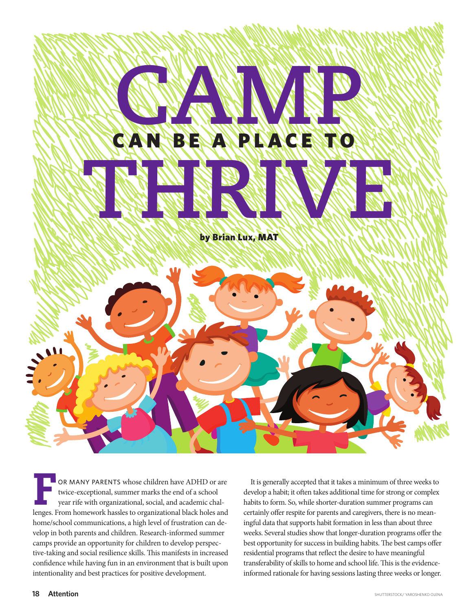## **CAMPA CAMPA CAMPA CAMPA CAMPA CAMPA CAMPA CAMPA CAMPA CAMPA CAMPA CAMPA CAMPA CAMPA CAMPA CAMPA CAMPA CAMPA CAM THE RIVER SERVEROR REPORT** CAN BE A PLACE TO

by Brian Lux, MAT

OR MANY PARENTS whose children have ADHD or are twice-exceptional, summer marks the end of a school year rife with organizational, social, and academic challenges. From homework hassles to organizational black holes and home/school communications, a high level of frustration can develop in both parents and children. Research-informed summer camps provide an opportunity for children to develop perspective-taking and social resilience skills. This manifests in increased confidence while having fun in an environment that is built upon intentionality and best practices for positive development.

It is generally accepted that it takes a minimum of three weeks to develop a habit; it often takes additional time for strong or complex habits to form. So, while shorter-duration summer programs can certainly offer respite for parents and caregivers, there is no meaningful data that supports habit formation in less than about three weeks. Several studies show that longer-duration programs offer the best opportunity for success in building habits. The best camps offer residential programs that reflect the desire to have meaningful transferability of skills to home and school life. This is the evidenceinformed rationale for having sessions lasting three weeks or longer.